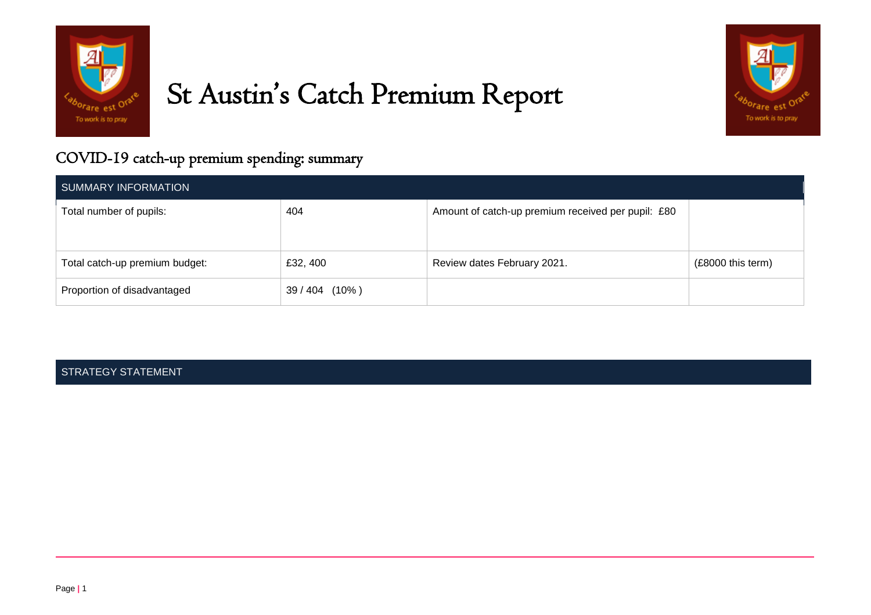

# St Austin's Catch Premium Report



# COVID-19 catch-up premium spending: summary

| SUMMARY INFORMATION            |              |                                                    |                   |
|--------------------------------|--------------|----------------------------------------------------|-------------------|
| Total number of pupils:        | 404          | Amount of catch-up premium received per pupil: £80 |                   |
| Total catch-up premium budget: | £32, 400     | Review dates February 2021.                        | (£8000 this term) |
| Proportion of disadvantaged    | 39/404 (10%) |                                                    |                   |

### STRATEGY STATEMENT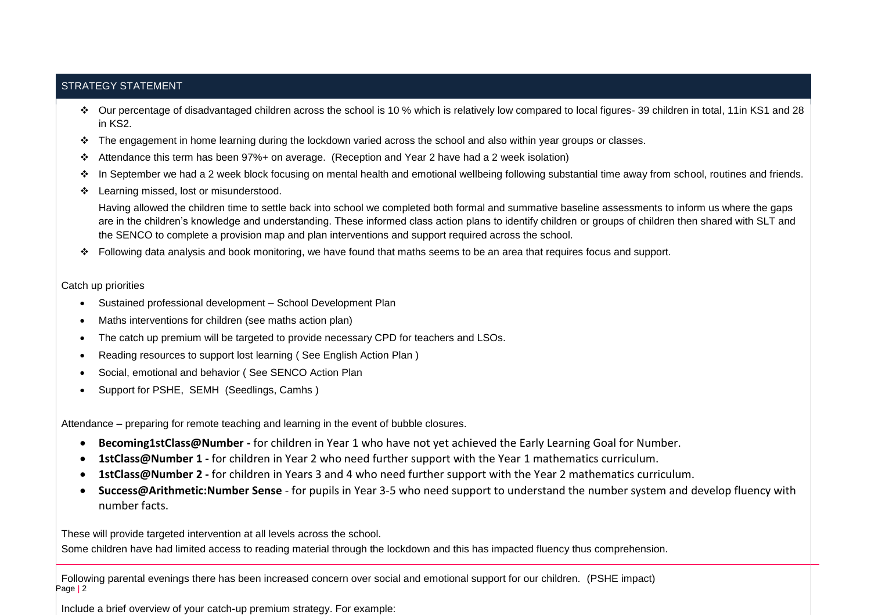### STRATEGY STATEMENT

- Our percentage of disadvantaged children across the school is 10 % which is relatively low compared to local figures- 39 children in total, 11in KS1 and 28 in KS2.
- The engagement in home learning during the lockdown varied across the school and also within year groups or classes.
- Attendance this term has been 97%+ on average. (Reception and Year 2 have had a 2 week isolation)
- In September we had a 2 week block focusing on mental health and emotional wellbeing following substantial time away from school, routines and friends.
- ❖ Learning missed, lost or misunderstood.

Having allowed the children time to settle back into school we completed both formal and summative baseline assessments to inform us where the gaps are in the children's knowledge and understanding. These informed class action plans to identify children or groups of children then shared with SLT and the SENCO to complete a provision map and plan interventions and support required across the school.

Following data analysis and book monitoring, we have found that maths seems to be an area that requires focus and support.

#### Catch up priorities

- Sustained professional development School Development Plan
- Maths interventions for children (see maths action plan)
- The catch up premium will be targeted to provide necessary CPD for teachers and LSOs.
- Reading resources to support lost learning ( See English Action Plan )
- Social, emotional and behavior ( See SENCO Action Plan
- Support for PSHE, SEMH (Seedlings, Camhs )

Attendance – preparing for remote teaching and learning in the event of bubble closures.

- **Becoming1stClass@Number -** for children in Year 1 who have not yet achieved the Early Learning Goal for Number.
- **1stClass@Number 1 -** for children in Year 2 who need further support with the Year 1 mathematics curriculum.
- **1stClass@Number 2 -** for children in Years 3 and 4 who need further support with the Year 2 mathematics curriculum.
- **Success@Arithmetic:Number Sense** for pupils in Year 3-5 who need support to understand the number system and develop fluency with number facts.

These will provide targeted intervention at all levels across the school.

Some children have had limited access to reading material through the lockdown and this has impacted fluency thus comprehension.

Page **|** 2 Following parental evenings there has been increased concern over social and emotional support for our children. (PSHE impact)

Include a brief overview of your catch-up premium strategy. For example: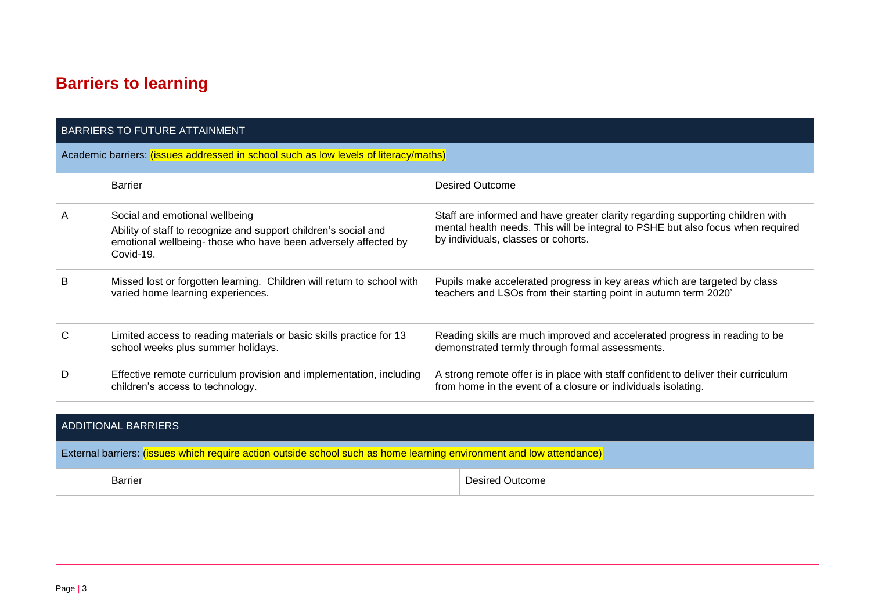# **Barriers to learning**

| BARRIERS TO FUTURE ATTAINMENT                                                        |                                                                                                                                                                                 |                                                                                                                                                                                                          |  |  |
|--------------------------------------------------------------------------------------|---------------------------------------------------------------------------------------------------------------------------------------------------------------------------------|----------------------------------------------------------------------------------------------------------------------------------------------------------------------------------------------------------|--|--|
| Academic barriers: (issues addressed in school such as low levels of literacy/maths) |                                                                                                                                                                                 |                                                                                                                                                                                                          |  |  |
|                                                                                      | <b>Barrier</b>                                                                                                                                                                  | Desired Outcome                                                                                                                                                                                          |  |  |
| A                                                                                    | Social and emotional wellbeing<br>Ability of staff to recognize and support children's social and<br>emotional wellbeing-those who have been adversely affected by<br>Covid-19. | Staff are informed and have greater clarity regarding supporting children with<br>mental health needs. This will be integral to PSHE but also focus when required<br>by individuals, classes or cohorts. |  |  |
| B                                                                                    | Missed lost or forgotten learning. Children will return to school with<br>varied home learning experiences.                                                                     | Pupils make accelerated progress in key areas which are targeted by class<br>teachers and LSOs from their starting point in autumn term 2020'                                                            |  |  |
| C                                                                                    | Limited access to reading materials or basic skills practice for 13<br>school weeks plus summer holidays.                                                                       | Reading skills are much improved and accelerated progress in reading to be<br>demonstrated termly through formal assessments.                                                                            |  |  |
| D                                                                                    | Effective remote curriculum provision and implementation, including<br>children's access to technology.                                                                         | A strong remote offer is in place with staff confident to deliver their curriculum<br>from home in the event of a closure or individuals isolating.                                                      |  |  |

| ADDITIONAL BARRIERS                                                                                                  |         |                 |  |
|----------------------------------------------------------------------------------------------------------------------|---------|-----------------|--|
| External barriers: (issues which require action outside school such as home learning environment and low attendance) |         |                 |  |
|                                                                                                                      | Barrier | Desired Outcome |  |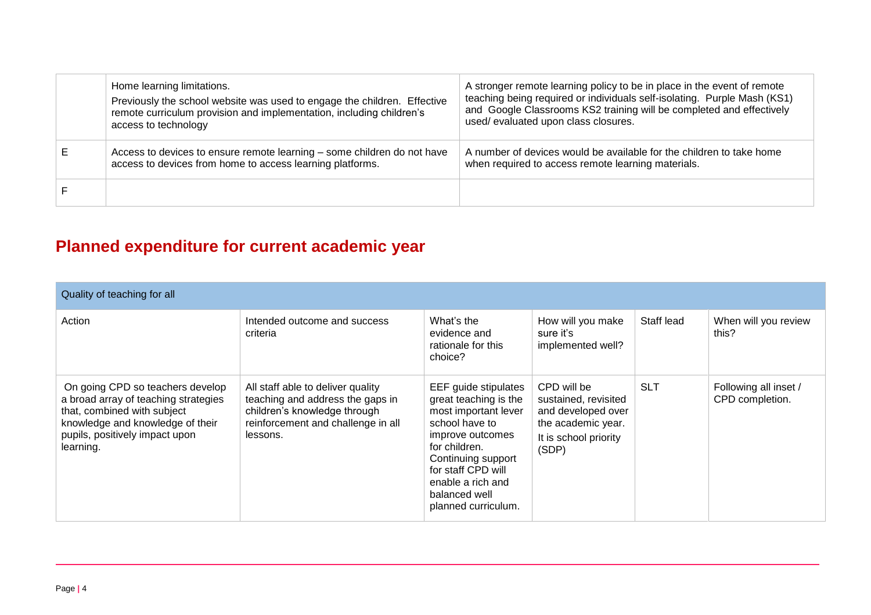|   | Home learning limitations.<br>Previously the school website was used to engage the children. Effective<br>remote curriculum provision and implementation, including children's<br>access to technology | A stronger remote learning policy to be in place in the event of remote<br>teaching being required or individuals self-isolating. Purple Mash (KS1)<br>and Google Classrooms KS2 training will be completed and effectively<br>used/evaluated upon class closures. |
|---|--------------------------------------------------------------------------------------------------------------------------------------------------------------------------------------------------------|--------------------------------------------------------------------------------------------------------------------------------------------------------------------------------------------------------------------------------------------------------------------|
| Е | Access to devices to ensure remote learning – some children do not have<br>access to devices from home to access learning platforms.                                                                   | A number of devices would be available for the children to take home<br>when required to access remote learning materials.                                                                                                                                         |
|   |                                                                                                                                                                                                        |                                                                                                                                                                                                                                                                    |

# **Planned expenditure for current academic year**

| Quality of teaching for all                                                                                                                                                                |                                                                                                                                                         |                                                                                                                                                                                                                                       |                                                                                                                   |            |                                          |
|--------------------------------------------------------------------------------------------------------------------------------------------------------------------------------------------|---------------------------------------------------------------------------------------------------------------------------------------------------------|---------------------------------------------------------------------------------------------------------------------------------------------------------------------------------------------------------------------------------------|-------------------------------------------------------------------------------------------------------------------|------------|------------------------------------------|
| Action                                                                                                                                                                                     | Intended outcome and success<br>criteria                                                                                                                | What's the<br>evidence and<br>rationale for this<br>choice?                                                                                                                                                                           | How will you make<br>sure it's<br>implemented well?                                                               | Staff lead | When will you review<br>this?            |
| On going CPD so teachers develop<br>a broad array of teaching strategies<br>that, combined with subject<br>knowledge and knowledge of their<br>pupils, positively impact upon<br>learning. | All staff able to deliver quality<br>teaching and address the gaps in<br>children's knowledge through<br>reinforcement and challenge in all<br>lessons. | EEF guide stipulates<br>great teaching is the<br>most important lever<br>school have to<br>improve outcomes<br>for children.<br>Continuing support<br>for staff CPD will<br>enable a rich and<br>balanced well<br>planned curriculum. | CPD will be<br>sustained, revisited<br>and developed over<br>the academic year.<br>It is school priority<br>(SDP) | <b>SLT</b> | Following all inset /<br>CPD completion. |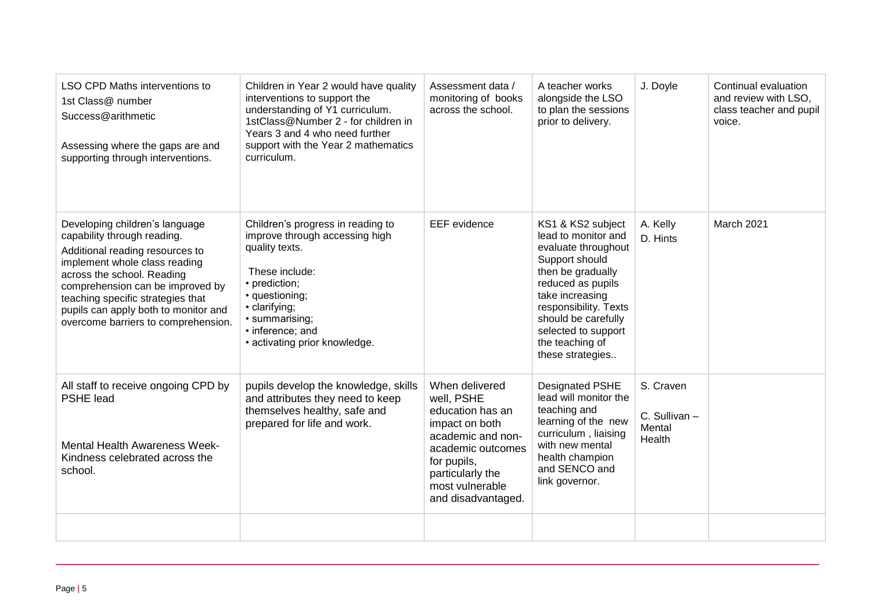| <b>LSO CPD Maths interventions to</b><br>1st Class@ number<br>Success@arithmetic<br>Assessing where the gaps are and<br>supporting through interventions.                                                                                                                                                               | Children in Year 2 would have quality<br>interventions to support the<br>understanding of Y1 curriculum.<br>1stClass@Number 2 - for children in<br>Years 3 and 4 who need further<br>support with the Year 2 mathematics<br>curriculum. | Assessment data /<br>monitoring of books<br>across the school.                                                                                                                           | A teacher works<br>alongside the LSO<br>to plan the sessions<br>prior to delivery.                                                                                                                                                                           | J. Doyle                                      | Continual evaluation<br>and review with LSO,<br>class teacher and pupil<br>voice. |
|-------------------------------------------------------------------------------------------------------------------------------------------------------------------------------------------------------------------------------------------------------------------------------------------------------------------------|-----------------------------------------------------------------------------------------------------------------------------------------------------------------------------------------------------------------------------------------|------------------------------------------------------------------------------------------------------------------------------------------------------------------------------------------|--------------------------------------------------------------------------------------------------------------------------------------------------------------------------------------------------------------------------------------------------------------|-----------------------------------------------|-----------------------------------------------------------------------------------|
| Developing children's language<br>capability through reading.<br>Additional reading resources to<br>implement whole class reading<br>across the school. Reading<br>comprehension can be improved by<br>teaching specific strategies that<br>pupils can apply both to monitor and<br>overcome barriers to comprehension. | Children's progress in reading to<br>improve through accessing high<br>quality texts.<br>These include:<br>• prediction;<br>• questioning;<br>• clarifying;<br>· summarising;<br>· inference; and<br>• activating prior knowledge.      | <b>EEF</b> evidence                                                                                                                                                                      | KS1 & KS2 subject<br>lead to monitor and<br>evaluate throughout<br>Support should<br>then be gradually<br>reduced as pupils<br>take increasing<br>responsibility. Texts<br>should be carefully<br>selected to support<br>the teaching of<br>these strategies | A. Kelly<br>D. Hints                          | March 2021                                                                        |
| All staff to receive ongoing CPD by<br><b>PSHE lead</b><br>Mental Health Awareness Week-<br>Kindness celebrated across the<br>school.                                                                                                                                                                                   | pupils develop the knowledge, skills<br>and attributes they need to keep<br>themselves healthy, safe and<br>prepared for life and work.                                                                                                 | When delivered<br>well, PSHE<br>education has an<br>impact on both<br>academic and non-<br>academic outcomes<br>for pupils,<br>particularly the<br>most vulnerable<br>and disadvantaged. | <b>Designated PSHE</b><br>lead will monitor the<br>teaching and<br>learning of the new<br>curriculum, liaising<br>with new mental<br>health champion<br>and SENCO and<br>link governor.                                                                      | S. Craven<br>C. Sullivan-<br>Mental<br>Health |                                                                                   |
|                                                                                                                                                                                                                                                                                                                         |                                                                                                                                                                                                                                         |                                                                                                                                                                                          |                                                                                                                                                                                                                                                              |                                               |                                                                                   |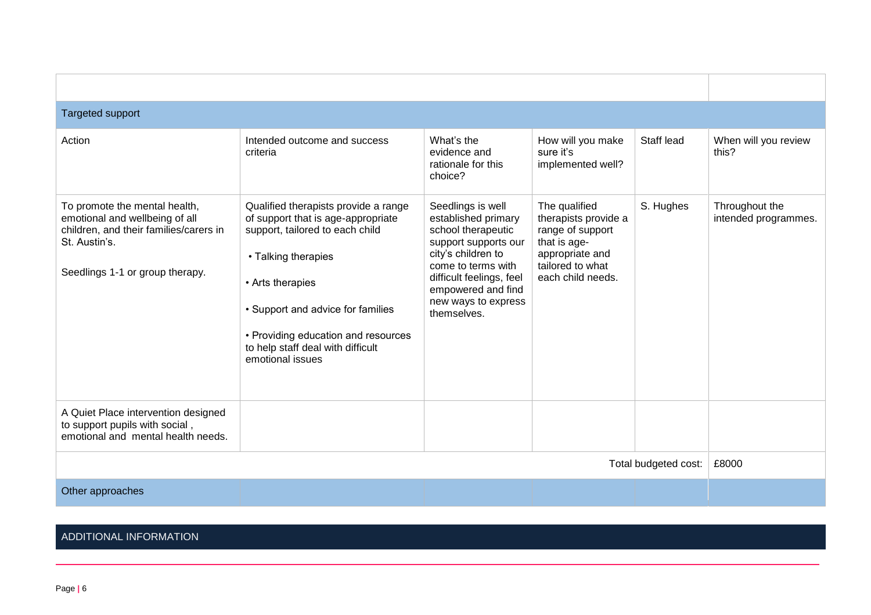| Targeted support                                                                                                                                              |                                                                                                                                                                                                                                                                                               |                                                                                                                                                                                                                            |                                                                                                                                       |                      |                                        |
|---------------------------------------------------------------------------------------------------------------------------------------------------------------|-----------------------------------------------------------------------------------------------------------------------------------------------------------------------------------------------------------------------------------------------------------------------------------------------|----------------------------------------------------------------------------------------------------------------------------------------------------------------------------------------------------------------------------|---------------------------------------------------------------------------------------------------------------------------------------|----------------------|----------------------------------------|
| Action                                                                                                                                                        | Intended outcome and success<br>criteria                                                                                                                                                                                                                                                      | What's the<br>evidence and<br>rationale for this<br>choice?                                                                                                                                                                | How will you make<br>sure it's<br>implemented well?                                                                                   | Staff lead           | When will you review<br>this?          |
| To promote the mental health,<br>emotional and wellbeing of all<br>children, and their families/carers in<br>St. Austin's.<br>Seedlings 1-1 or group therapy. | Qualified therapists provide a range<br>of support that is age-appropriate<br>support, tailored to each child<br>• Talking therapies<br>• Arts therapies<br>• Support and advice for families<br>• Providing education and resources<br>to help staff deal with difficult<br>emotional issues | Seedlings is well<br>established primary<br>school therapeutic<br>support supports our<br>city's children to<br>come to terms with<br>difficult feelings, feel<br>empowered and find<br>new ways to express<br>themselves. | The qualified<br>therapists provide a<br>range of support<br>that is age-<br>appropriate and<br>tailored to what<br>each child needs. | S. Hughes            | Throughout the<br>intended programmes. |
| A Quiet Place intervention designed<br>to support pupils with social,<br>emotional and mental health needs.                                                   |                                                                                                                                                                                                                                                                                               |                                                                                                                                                                                                                            |                                                                                                                                       |                      |                                        |
|                                                                                                                                                               |                                                                                                                                                                                                                                                                                               |                                                                                                                                                                                                                            |                                                                                                                                       | Total budgeted cost: | £8000                                  |
| Other approaches                                                                                                                                              |                                                                                                                                                                                                                                                                                               |                                                                                                                                                                                                                            |                                                                                                                                       |                      |                                        |

## ADDITIONAL INFORMATION